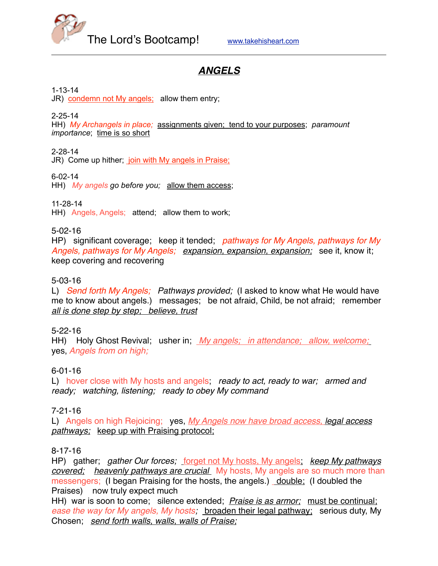

# *ANGELS*

1-13-14

JR) condemn not My angels; allow them entry;

2-25-14

HH) *My Archangels in place;* assignments given; tend to your purposes; *paramount importance*; time is so short

2-28-14

JR) Come up hither; join with My angels in Praise;

6-02-14

HH) *My angels go before you;* allow them access;

11-28-14

HH) Angels, Angels; attend; allow them to work;

5-02-16

HP) significant coverage; keep it tended; *pathways for My Angels, pathways for My Angels, pathways for My Angels; expansion, expansion, expansion;* see it, know it; keep covering and recovering

# 5-03-16

L) *Send forth My Angels; Pathways provided;* (I asked to know what He would have me to know about angels.) messages; be not afraid, Child, be not afraid; remember *all is done step by step; believe, trust*

#### 5-22-16

HH) Holy Ghost Revival; usher in; *My angels; in attendance; allow, welcome;* yes, *Angels from on high;*

#### 6-01-16

L) hover close with My hosts and angels; *ready to act, ready to war; armed and ready; watching, listening; ready to obey My command*

#### 7-21-16

L) Angels on high Rejoicing; yes, *My Angels now have broad access, legal access pathways;* keep up with Praising protocol;

#### 8-17-16

HP) gather; *gather Our forces;* forget not My hosts, My angels; *keep My pathways covered; heavenly pathways are crucial* My hosts, My angels are so much more than messengers; (I began Praising for the hosts, the angels.) double; (I doubled the Praises) now truly expect much

HH) war is soon to come; silence extended; *Praise is as armor;* must be continual; *ease the way for My angels, My hosts;* broaden their legal pathway; serious duty, My Chosen; *send forth walls, walls, walls of Praise;*